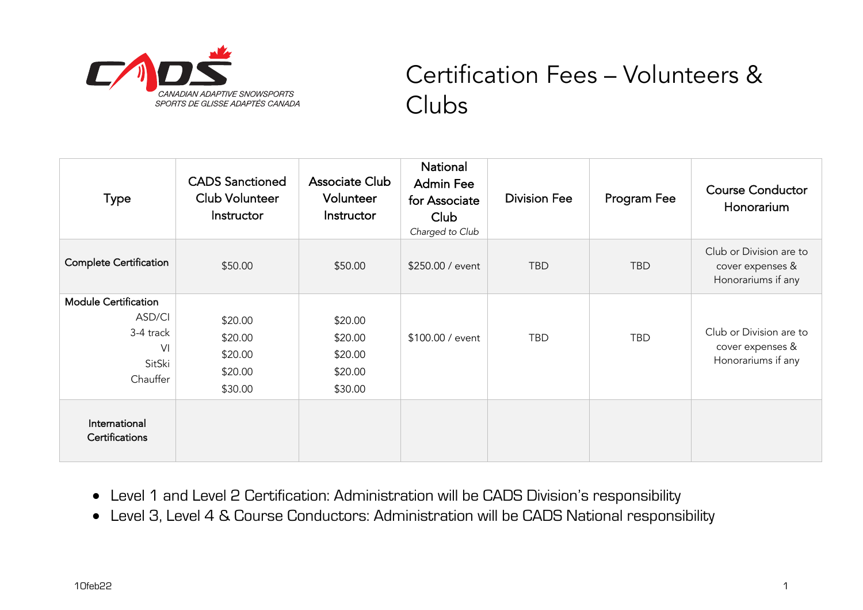

## Certification Fees – Volunteers & Clubs

| <b>Type</b>                                                                                | <b>CADS</b> Sanctioned<br><b>Club Volunteer</b><br>Instructor | Associate Club<br>Volunteer<br>Instructor           | National<br><b>Admin Fee</b><br>for Associate<br>Club<br>Charged to Club | <b>Division Fee</b> | Program Fee | <b>Course Conductor</b><br>Honorarium                             |
|--------------------------------------------------------------------------------------------|---------------------------------------------------------------|-----------------------------------------------------|--------------------------------------------------------------------------|---------------------|-------------|-------------------------------------------------------------------|
| <b>Complete Certification</b>                                                              | \$50.00                                                       | \$50.00                                             | \$250.00 / event                                                         | <b>TBD</b>          | <b>TBD</b>  | Club or Division are to<br>cover expenses &<br>Honorariums if any |
| <b>Module Certification</b><br>ASD/CI<br>3-4 track<br>V <sub>l</sub><br>SitSki<br>Chauffer | \$20.00<br>\$20.00<br>\$20.00<br>\$20.00<br>\$30.00           | \$20.00<br>\$20.00<br>\$20.00<br>\$20.00<br>\$30.00 | \$100.00 / event                                                         | <b>TBD</b>          | <b>TBD</b>  | Club or Division are to<br>cover expenses &<br>Honorariums if any |
| International<br>Certifications                                                            |                                                               |                                                     |                                                                          |                     |             |                                                                   |

- Level 1 and Level 2 Certification: Administration will be CADS Division's responsibility
- Level 3, Level 4 & Course Conductors: Administration will be CADS National responsibility